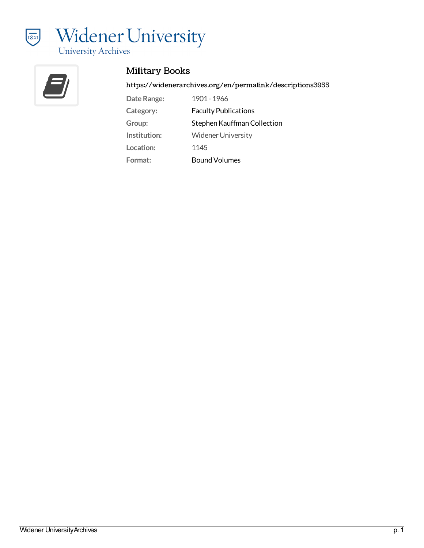



## Military Books

<https://widenerarchives.org/en/permalink/descriptions3955>

| Date Range:  | 1901 - 1966                 |
|--------------|-----------------------------|
| Category:    | <b>Faculty Publications</b> |
| Group:       | Stephen Kauffman Collection |
| Institution: | <b>Widener University</b>   |
| Location:    | 1145                        |
| Format:      | <b>Bound Volumes</b>        |